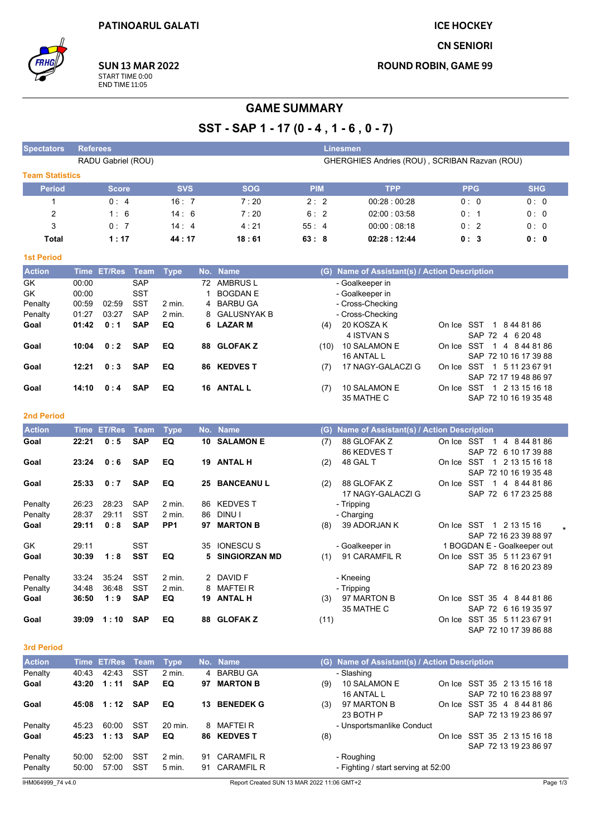**ICE HOCKEY** 

**CN SENIORI** 

**ROUND ROBIN, GAME 99** 

**SUN 13 MAR 2022** START TIME 0:00<br>END TIME 11:05

# **GAME SUMMARY**

# SST - SAP 1 - 17 (0 - 4, 1 - 6, 0 - 7)

| <b>Spectators</b>      | <b>Referees</b> |                    |             |                 |              |                      | <b>Linesmen</b>                   |                                               |                             |                       |  |  |
|------------------------|-----------------|--------------------|-------------|-----------------|--------------|----------------------|-----------------------------------|-----------------------------------------------|-----------------------------|-----------------------|--|--|
|                        |                 | RADU Gabriel (ROU) |             |                 |              |                      |                                   | GHERGHIES Andries (ROU), SCRIBAN Razvan (ROU) |                             |                       |  |  |
| <b>Team Statistics</b> |                 |                    |             |                 |              |                      |                                   |                                               |                             |                       |  |  |
| <b>Period</b>          |                 | <b>Score</b>       |             | <b>SVS</b>      |              | <b>SOG</b>           | <b>PIM</b>                        | <b>TPP</b>                                    | <b>PPG</b>                  | <b>SHG</b>            |  |  |
| $\mathbf{1}$           |                 | 0:4                |             | 16:7            |              | 7:20                 | 2:2                               | 00:28:00:28                                   | 0: 0                        | 0:0                   |  |  |
| $\overline{2}$         |                 | 1:6                |             | 14:6            |              | 7:20                 | 6:2                               | 02:00:03:58                                   | 0:1                         | 0:0                   |  |  |
| 3                      |                 | 0:7                |             | 14:4            |              | 4:21                 | 55:4<br>0:2<br>0:0<br>00:00:08:18 |                                               |                             |                       |  |  |
| <b>Total</b>           |                 | 1:17               |             | 44:17           |              | 18:61                | 63:8                              | 0:0                                           |                             |                       |  |  |
| <b>1st Period</b>      |                 |                    |             |                 |              |                      |                                   |                                               |                             |                       |  |  |
| <b>Action</b>          | <b>Time</b>     | <b>ET/Res</b>      | <b>Team</b> | <b>Type</b>     |              | No. Name             |                                   | (G) Name of Assistant(s) / Action Description |                             |                       |  |  |
| $\overline{GK}$        | 00:00           |                    | <b>SAP</b>  |                 |              | 72 AMBRUS L          |                                   | - Goalkeeper in                               |                             |                       |  |  |
| GK                     | 00:00           |                    | <b>SST</b>  |                 | $\mathbf{1}$ | <b>BOGDAN E</b>      |                                   | - Goalkeeper in                               |                             |                       |  |  |
| Penalty                | 00:59           | 02:59              | <b>SST</b>  | 2 min.          | 4            | <b>BARBU GA</b>      |                                   | - Cross-Checking                              |                             |                       |  |  |
| Penalty                | 01:27           | 03:27              | <b>SAP</b>  | $2$ min.        | 8            | <b>GALUSNYAK B</b>   |                                   | - Cross-Checking                              |                             |                       |  |  |
| Goal                   | 01:42           | 0:1                | <b>SAP</b>  | EQ              | 6            | <b>LAZAR M</b>       | (4)                               | 20 KOSZA K                                    | On Ice SST                  | 1 8 44 81 86          |  |  |
|                        |                 |                    |             |                 |              |                      |                                   | 4 ISTVAN S                                    | SAP 72 4 6 20 48            |                       |  |  |
| Goal                   | 10:04           | 0:2                | <b>SAP</b>  | EQ              | 88           | <b>GLOFAKZ</b>       | (10)                              | 10 SALAMON E                                  | On Ice SST                  | 1 4 8 44 81 86        |  |  |
|                        |                 |                    |             |                 |              |                      |                                   | 16 ANTAL L                                    |                             | SAP 72 10 16 17 39 88 |  |  |
| Goal                   | 12:21           | 0:3                | <b>SAP</b>  | EQ              |              | 86 KEDVES T          | (7)                               | 17 NAGY-GALACZI G                             | On Ice SST                  | 1 5 11 23 67 91       |  |  |
|                        |                 |                    |             |                 |              |                      |                                   |                                               | SAP 72 17 19 48 86 97       |                       |  |  |
| Goal                   | 14:10           | 0:4                | <b>SAP</b>  | EQ              |              | 16 ANTAL L           | (7)                               | 10 SALAMON E                                  | On Ice SST 1 2 13 15 16 18  |                       |  |  |
|                        |                 |                    |             |                 |              |                      |                                   | 35 MATHE C                                    |                             | SAP 72 10 16 19 35 48 |  |  |
|                        |                 |                    |             |                 |              |                      |                                   |                                               |                             |                       |  |  |
| <b>2nd Period</b>      |                 |                    |             |                 |              |                      |                                   |                                               |                             |                       |  |  |
| <b>Action</b>          | <b>Time</b>     | <b>ET/Res</b>      | <b>Team</b> | <b>Type</b>     | No.          | <b>Name</b>          |                                   | (G) Name of Assistant(s) / Action Description |                             |                       |  |  |
| Goal                   | 22:21           | 0:5                | <b>SAP</b>  | EQ              | 10           | <b>SALAMON E</b>     | (7)                               | 88 GLOFAK Z                                   | On Ice SST                  | 1 4 8 44 81 86        |  |  |
|                        |                 |                    |             |                 |              |                      |                                   | 86 KEDVES T                                   |                             | SAP 72 6 10 17 39 88  |  |  |
| Goal                   | 23:24           | 0:6                | <b>SAP</b>  | EQ              |              | 19 ANTAL H           | (2)                               | 48 GAL T                                      | On Ice SST                  | 1 2 13 15 16 18       |  |  |
|                        |                 |                    |             |                 |              |                      |                                   |                                               |                             | SAP 72 10 16 19 35 48 |  |  |
| Goal                   | 25:33           | 0:7                | <b>SAP</b>  | EQ              | 25           | <b>BANCEANUL</b>     | (2)                               | 88 GLOFAK Z                                   | On Ice SST                  | 1 4 8 44 81 86        |  |  |
|                        |                 |                    |             |                 |              |                      |                                   | 17 NAGY-GALACZI G                             |                             | SAP 72 6 17 23 25 88  |  |  |
| Penalty                | 26:23           | 28:23              | <b>SAP</b>  | 2 min.          | 86           | <b>KEDVEST</b>       |                                   | - Tripping                                    |                             |                       |  |  |
| Penalty                | 28:37           | 29:11              | <b>SST</b>  | $2$ min.        | 86           | DINU I               |                                   | - Charging                                    |                             |                       |  |  |
| Goal                   | 29:11           | 0:8                | <b>SAP</b>  | PP <sub>1</sub> | 97           | <b>MARTON B</b>      | (8)                               | 39 ADORJAN K                                  | On Ice SST                  | 1 2 13 15 16          |  |  |
|                        |                 |                    |             |                 |              |                      |                                   |                                               |                             | SAP 72 16 23 39 88 97 |  |  |
| GK                     | 29:11           |                    | <b>SST</b>  |                 | 35           | <b>IONESCUS</b>      |                                   | - Goalkeeper in                               | 1 BOGDAN E - Goalkeeper out |                       |  |  |
| Goal                   | 30:39           | 1:8                | <b>SST</b>  | EQ              | 5            | <b>SINGIORZAN MD</b> | (1)                               | 91 CARAMFIL R                                 | On Ice SST 35 5 11 23 67 91 |                       |  |  |
|                        |                 |                    |             |                 |              |                      |                                   |                                               |                             | SAP 72 8 16 20 23 89  |  |  |
| Penalty                | 33:24           | 35:24              | <b>SST</b>  | 2 min.          |              | 2 DAVID F            |                                   | - Kneeing                                     |                             |                       |  |  |
| Penalty                | 34:48           | 36:48              | <b>SST</b>  | 2 min.          | 8            | <b>MAFTEIR</b>       |                                   | - Tripping                                    |                             |                       |  |  |
| Goal                   | 36:50           | 1:9                | <b>SAP</b>  | EQ              |              | 19 ANTAL H           | (3)                               | 97 MARTON B                                   | On Ice SST 35 4 8 44 81 86  |                       |  |  |
|                        |                 |                    |             |                 |              |                      |                                   | 35 MATHE C                                    |                             | SAP 72 6 16 19 35 97  |  |  |
| Goal                   | 39:09           | 1:10               | <b>SAP</b>  | EQ              | 88           | <b>GLOFAKZ</b>       | (11)                              |                                               | On Ice SST 35 5 11 23 67 91 |                       |  |  |
|                        |                 |                    |             |                 |              |                      |                                   |                                               |                             | SAP 72 10 17 39 86 88 |  |  |

#### 3rd Period

| <b>Action</b>                 |       | Time ET/Res Team |            | Type     |    | No. Name                                  |     | (G) Name of Assistant(s) / Action Description |  |                                                      |  |  |  |
|-------------------------------|-------|------------------|------------|----------|----|-------------------------------------------|-----|-----------------------------------------------|--|------------------------------------------------------|--|--|--|
| Penalty                       | 40:43 | 42:43            | <b>SST</b> | $2$ min. |    | 4 BARBU GA                                |     | - Slashing                                    |  |                                                      |  |  |  |
| Goal                          | 43:20 | 1:11             | <b>SAP</b> | EQ       | 97 | <b>MARTON B</b>                           | (9) | 10 SALAMON E<br>16 ANTAL L                    |  | On Ice SST 35 2 13 15 16 18<br>SAP 72 10 16 23 88 97 |  |  |  |
| Goal                          | 45:08 | 1:12             | <b>SAP</b> | EQ       | 13 | <b>BENEDEK G</b>                          | (3) | 97 MARTON B<br>23 BOTH P                      |  | On Ice SST 35 4 844 81 86<br>SAP 72 13 19 23 86 97   |  |  |  |
| Penalty                       | 45.23 | 60:00            | SST        | 20 min.  |    | 8 MAFTEIR                                 |     | - Unsportsmanlike Conduct                     |  |                                                      |  |  |  |
| Goal                          | 45:23 | 1:13             | <b>SAP</b> | EQ       |    | 86 KEDVES T                               | (8) |                                               |  | On Ice SST 35 2 13 15 16 18<br>SAP 72 13 19 23 86 97 |  |  |  |
| Penalty                       | 50:00 | 52:00            | SST        | 2 min.   |    | 91 CARAMFIL R                             |     | - Roughing                                    |  |                                                      |  |  |  |
| Penalty                       | 50:00 | 57:00            | SST        | 5 min.   |    | 91 CARAMFIL R                             |     | - Fighting / start serving at 52:00           |  |                                                      |  |  |  |
| II IN A O C A O O O T A A A A |       |                  |            |          |    | Benet Created CUN 49 MAD 2022 44:00 CMT+3 |     |                                               |  | Dogan 1                                              |  |  |  |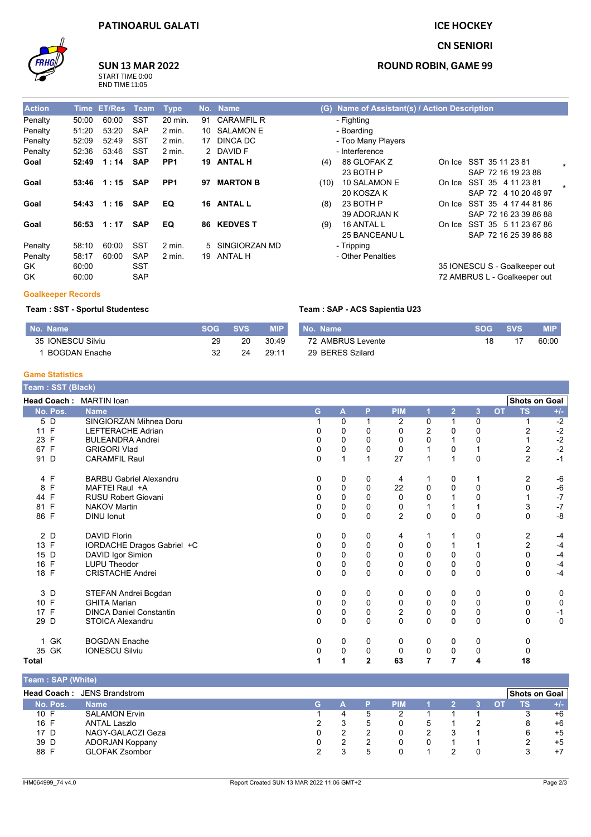

# **SUN 13 MAR 2022**  $rac{S}{E}$

| TART TIME 0:00 |  |
|----------------|--|
| ND TIME 11:05  |  |

| <b>Action</b> | <b>Time</b> | <b>ET/Res</b> | <b>Team</b> | <b>Type</b>       |    | No. Name          |
|---------------|-------------|---------------|-------------|-------------------|----|-------------------|
| Penalty       | 50:00       | 60:00         | SST         | 20 min.           | 91 | <b>CARAMFIL R</b> |
| Penalty       | 51:20       | 53:20         | <b>SAP</b>  | $2 \text{ min}$ . | 10 | <b>SALAMON E</b>  |
| Penalty       | 52:09       | 52:49         | SST         | $2 \text{ min}$ . | 17 | DINCA DC          |
| Penalty       | 52:36       | 53:46         | SST         | $2$ min.          | 2  | DAVID F           |
| Goal          | 52:49       | 1:14          | <b>SAP</b>  | PP <sub>1</sub>   | 19 | <b>ANTAL H</b>    |
| Goal          | 53:46       | 1:15          | <b>SAP</b>  | PP <sub>1</sub>   | 97 | <b>MARTON B</b>   |
|               |             |               |             |                   |    |                   |
| Goal          | 54:43       | 1:16          | SAP         | EQ                |    | 16 ANTAL L        |
| Goal          | 56:53       | 1:17          | <b>SAP</b>  | EQ                | 86 | <b>KEDVES T</b>   |
| Penalty       | 58:10       | 60:00         | SST         | 2 min             | 5  | SINGIORZAN MD     |
| Penalty       | 58:17       | 60:00         | <b>SAP</b>  | 2 min.            | 19 | <b>ANTAL H</b>    |
| GK            | 60:00       |               | SST         |                   |    |                   |
| GK            | 60:00       |               | SAP         |                   |    |                   |

## **ICE HOCKEY**

#### **CN SENIORI**

#### **ROUND ROBIN, GAME 99**

| (G) Name of Assistant(s) / Action Description                                          |                                                               |
|----------------------------------------------------------------------------------------|---------------------------------------------------------------|
| - Fighting<br>- Boarding<br>- Too Many Players<br>- Interference<br>88 GLOFAK Z<br>(4) | On Ice SST 35 11 23 81                                        |
| 23 BOTH P                                                                              | $\star$<br>SAP 72 16 19 23 88                                 |
| 10 SALAMON E<br>(10)<br>20 KOSZA K                                                     | On Ice SST 35 4 11 23 81<br>SAP 72 4 10 20 48 97              |
| 23 BOTH P<br>(8)<br>39 ADORJAN K                                                       | On Ice SST 35 4 17 44 81 86<br>SAP 72 16 23 39 86 88          |
| 16 ANTAL L<br>(9)<br>25 BANCEANUL                                                      | On Ice SST 35 5 11 23 67 86<br>SAP 72 16 25 39 86 88          |
| - Tripping<br>- Other Penalties                                                        |                                                               |
|                                                                                        | 35 IONESCU S - Goalkeeper out<br>72 AMBRUS L - Goalkeeper out |

#### **Goalkeeper Records**

#### Team : SST - Sportul Studentesc

| No. Name          | <b>SOG</b> | <b>SVS</b> | <b>MIP</b> | No. Name          | $-SOGZ$ | <b>SVS</b> | <b>MIP</b> |
|-------------------|------------|------------|------------|-------------------|---------|------------|------------|
| 35 IONESCU Silviu | 29         | 20         | 30:49      | 72 AMBRUS Levente |         |            | 60:00      |
| BOGDAN Enache     | 32         | 24         | 29:11      | 29 BERES Szilard  |         |            |            |

Team : SAP - ACS Sapientia U23

#### **Game Statistics**

| Team: SST (Black)  |                                |              |             |             |                |             |                |             |           |                      |               |
|--------------------|--------------------------------|--------------|-------------|-------------|----------------|-------------|----------------|-------------|-----------|----------------------|---------------|
|                    | Head Coach: MARTIN loan        |              |             |             |                |             |                |             |           | <b>Shots on Goal</b> |               |
| No. Pos.           | <b>Name</b>                    | G            | A           | P           | <b>PIM</b>     |             | $\overline{2}$ | 3           | <b>OT</b> | <b>TS</b>            | $+/-$         |
| 5 D                | SINGIORZAN Mihnea Doru         |              | 0           |             | $\overline{2}$ | 0           |                | 0           |           |                      | $-2$          |
| 11 F               | LEFTERACHE Adrian              |              | 0           | 0           | 0              | 2           | 0              | 0           |           | 2                    | $-2$          |
| $\mathsf{F}$<br>23 | <b>BULEANDRA Andrei</b>        |              | 0           | 0           | 0              | 0           |                | 0           |           |                      | $-2$          |
| 67 F               | <b>GRIGORI Vlad</b>            | 0            | $\mathsf 0$ | 0           | $\mathbf 0$    | 1           | 0              |             |           | 2                    | $-2$          |
| 91 D               | <b>CARAMFIL Raul</b>           | 0            | 1           | 1           | 27             | 1           |                | $\Omega$    |           | $\overline{2}$       | $-1$          |
| 4 F                | <b>BARBU Gabriel Alexandru</b> | 0            | 0           | 0           | 4              |             | 0              |             |           | 2                    | $-6$          |
| F<br>8             | MAFTEI Raul +A                 | 0            | $\mathbf 0$ | $\mathbf 0$ | 22             | $\mathbf 0$ | $\Omega$       | $\Omega$    |           | 0                    | -6            |
| 44 F               | <b>RUSU Robert Giovani</b>     |              | 0           | 0           | 0              | 0           |                | 0           |           |                      | $\mathbf{-7}$ |
| 81 F               | <b>NAKOV Martin</b>            | 0            | 0           | 0           | 0              | 1           |                |             |           | 3                    | $\mathbf{-7}$ |
| 86 F               | <b>DINU</b> Ionut              | 0            | 0           | 0           | $\overline{2}$ | $\mathbf 0$ | $\Omega$       | $\mathbf 0$ |           | 0                    | $-8$          |
| 2 D                | <b>DAVID Florin</b>            | 0            | 0           | 0           | 4              |             |                | 0           |           | 2                    | -4            |
| 13 F               | IORDACHE Dragos Gabriel +C     | 0            | 0           | 0           | 0              | 0           |                |             |           | $\overline{2}$       | $-4$          |
| 15 D               | DAVID Igor Simion              | <sup>0</sup> | $\mathbf 0$ | $\Omega$    | 0              | $\mathbf 0$ | $\Omega$       | $\Omega$    |           | 0                    | $-4$          |
| F<br>16            | <b>LUPU Theodor</b>            | 0            | 0           | 0           | 0              | 0           | 0              | 0           |           | 0                    | $-4$          |
| 18 F               | <b>CRISTACHE Andrei</b>        | 0            | $\mathbf 0$ | $\Omega$    | $\mathbf 0$    | $\Omega$    | $\Omega$       | $\Omega$    |           | $\Omega$             | $-4$          |
| 3 D                | STEFAN Andrei Bogdan           | 0            | 0           | 0           | 0              | 0           | 0              | 0           |           | 0                    | 0             |
| 10 F               | <b>GHITA Marian</b>            | 0            | 0           | $\mathbf 0$ | 0              | 0           | $\mathbf 0$    | 0           |           | 0                    | $\mathbf 0$   |
| 17 F               | <b>DINCA Daniel Constantin</b> | 0            | 0           | $\pmb{0}$   | $\overline{c}$ | $\pmb{0}$   | $\mathbf 0$    | 0           |           | 0                    | $-1$          |
| 29<br>D            | <b>STOICA Alexandru</b>        | $\Omega$     | $\mathbf 0$ | $\mathbf 0$ | $\mathbf 0$    | $\mathbf 0$ | $\Omega$       | $\Omega$    |           | $\mathbf 0$          | $\mathbf 0$   |
| 1 GK               | <b>BOGDAN Enache</b>           | 0            | 0           | 0           | 0              | 0           | 0              | 0           |           | 0                    |               |
| 35 GK              | <b>IONESCU Silviu</b>          | 0            | $\mathbf 0$ | 0           | 0              | 0           | 0              | 0           |           |                      |               |
| Total              |                                |              |             | 2           | 63             |             |                | 4           |           | 18                   |               |

| [Team:SAP (White)] |                       |    |   |   |            |   |  |    |                      |       |
|--------------------|-----------------------|----|---|---|------------|---|--|----|----------------------|-------|
| <b>Head Coach:</b> | JENS Brandstrom       |    |   |   |            |   |  |    | <b>Shots on Goal</b> |       |
| No. Pos.           | <b>Name</b>           | G. |   |   | <b>PIM</b> |   |  | O. | TS.                  | $+/-$ |
| 10 F               | <b>SALAMON Ervin</b>  |    |   | 5 |            |   |  |    |                      | $+6$  |
| 16 F               | <b>ANTAL Laszlo</b>   |    | 3 | 5 | 0          | 5 |  |    | 8                    | +6    |
| 17 D               | NAGY-GALACZI Geza     |    |   |   |            |   |  |    | 6                    | $+5$  |
| 39 D               | ADORJAN Koppany       |    |   |   |            |   |  |    |                      | $+5$  |
| 88 F               | <b>GLOFAK Zsombor</b> |    |   | 5 |            |   |  |    |                      | $+7$  |